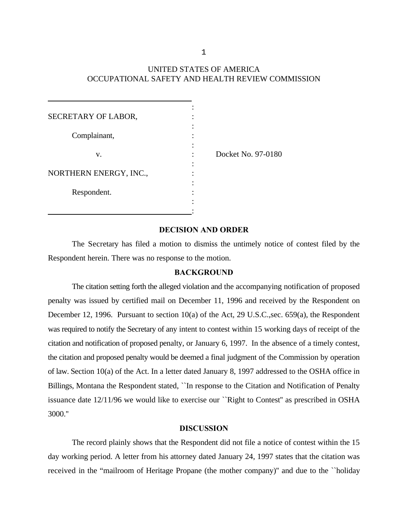# UNITED STATES OF AMERICA OCCUPATIONAL SAFETY AND HEALTH REVIEW COMMISSION

| SECRETARY OF LABOR,    |                    |
|------------------------|--------------------|
| Complainant,           |                    |
| v.                     | Docket No. 97-0180 |
| NORTHERN ENERGY, INC., |                    |
| Respondent.            |                    |
|                        |                    |

### **DECISION AND ORDER**

The Secretary has filed a motion to dismiss the untimely notice of contest filed by the Respondent herein. There was no response to the motion.

#### **BACKGROUND**

The citation setting forth the alleged violation and the accompanying notification of proposed penalty was issued by certified mail on December 11, 1996 and received by the Respondent on December 12, 1996. Pursuant to section 10(a) of the Act, 29 U.S.C.,sec. 659(a), the Respondent was required to notify the Secretary of any intent to contest within 15 working days of receipt of the citation and notification of proposed penalty, or January 6, 1997. In the absence of a timely contest, the citation and proposed penalty would be deemed a final judgment of the Commission by operation of law. Section 10(a) of the Act. In a letter dated January 8, 1997 addressed to the OSHA office in Billings, Montana the Respondent stated, ``In response to the Citation and Notification of Penalty issuance date 12/11/96 we would like to exercise our ``Right to Contest'' as prescribed in OSHA 3000.''

### **DISCUSSION**

The record plainly shows that the Respondent did not file a notice of contest within the 15 day working period. A letter from his attorney dated January 24, 1997 states that the citation was received in the "mailroom of Heritage Propane (the mother company)'' and due to the ``holiday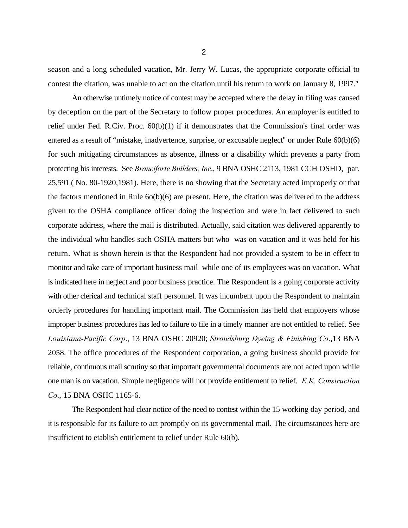season and a long scheduled vacation, Mr. Jerry W. Lucas, the appropriate corporate official to contest the citation, was unable to act on the citation until his return to work on January 8, 1997.''

An otherwise untimely notice of contest may be accepted where the delay in filing was caused by deception on the part of the Secretary to follow proper procedures. An employer is entitled to relief under Fed. R.Civ. Proc. 60(b)(1) if it demonstrates that the Commission's final order was entered as a result of "mistake, inadvertence, surprise, or excusable neglect'' or under Rule 60(b)(6) for such mitigating circumstances as absence, illness or a disability which prevents a party from protecting his interests. See *Branciforte Builders, Inc*., 9 BNA OSHC 2113, 1981 CCH OSHD, par. 25,591 ( No. 80-1920,1981). Here, there is no showing that the Secretary acted improperly or that the factors mentioned in Rule  $60(b)(6)$  are present. Here, the citation was delivered to the address given to the OSHA compliance officer doing the inspection and were in fact delivered to such corporate address, where the mail is distributed. Actually, said citation was delivered apparently to the individual who handles such OSHA matters but who was on vacation and it was held for his return. What is shown herein is that the Respondent had not provided a system to be in effect to monitor and take care of important business mail while one of its employees was on vacation. What is indicated here in neglect and poor business practice. The Respondent is a going corporate activity with other clerical and technical staff personnel. It was incumbent upon the Respondent to maintain orderly procedures for handling important mail. The Commission has held that employers whose improper business procedures has led to failure to file in a timely manner are not entitled to relief. See *Louisiana-Pacific Corp*., 13 BNA OSHC 20920; *Stroudsburg Dyeing & Finishing Co*.,13 BNA 2058. The office procedures of the Respondent corporation, a going business should provide for reliable, continuous mail scrutiny so that important governmental documents are not acted upon while one man is on vacation. Simple negligence will not provide entitlement to relief. *E.K. Construction Co*., 15 BNA OSHC 1165-6.

The Respondent had clear notice of the need to contest within the 15 working day period, and it is responsible for its failure to act promptly on its governmental mail. The circumstances here are insufficient to etablish entitlement to relief under Rule 60(b).